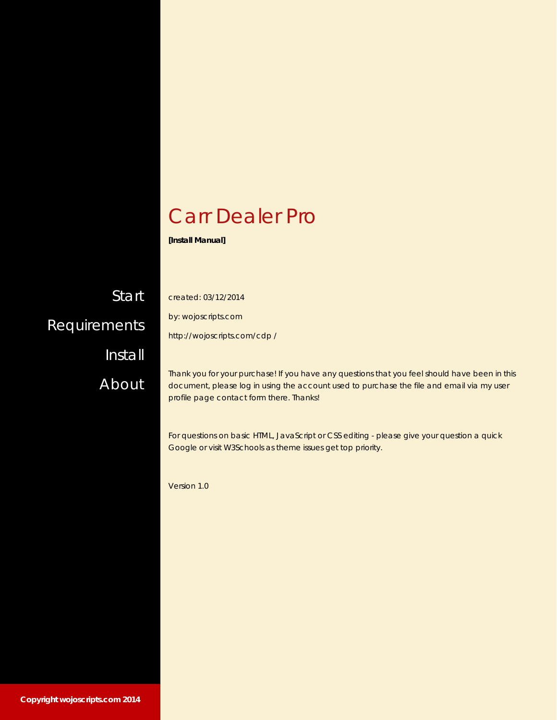### Carr Dealer Pro

**[Install Manual]** 

**Start [Requirements](#page-1-0)** [Install](#page-2-0) [About](#page-4-0)

created: 03/12/2014

by: wojoscripts.com

http://wojoscripts.com/cdp /

Thank you for your purchase! If you have any questions that you feel should have been in this document, please log in using the account used to purchase the file and email via my user profile page contact form there. Thanks!

For questions on basic HTML, JavaScript or CSS editing - please give your question a quick Google or visit W3Schools as theme issues get top priority.

Version 1.0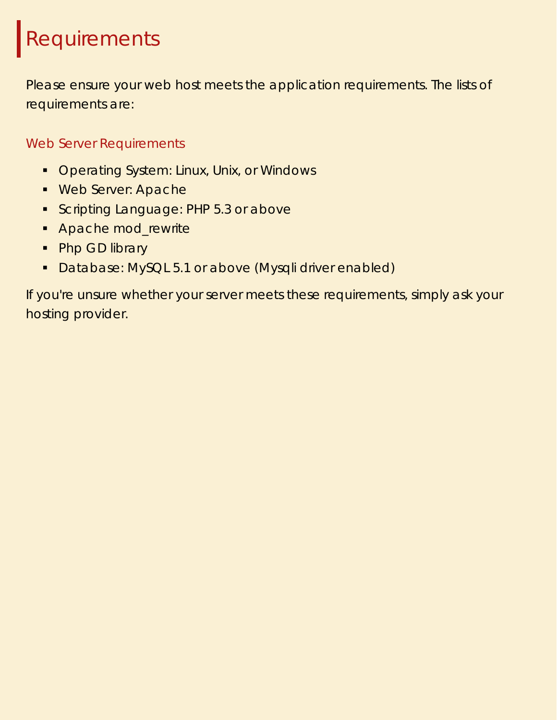## <span id="page-1-0"></span>Requirements

Please ensure your web host meets the application requirements. The lists of requirements are:

Web Server Requirements

- **Operating System: Linux, Unix, or Windows**
- **Web Server: Apache**
- Scripting Language: PHP 5.3 or above
- **Apache mod\_rewrite**
- Php GD library
- **Database: MySQL 5.1 or above (Mysqli driver enabled)**

If you're unsure whether your server meets these requirements, simply ask your hosting provider.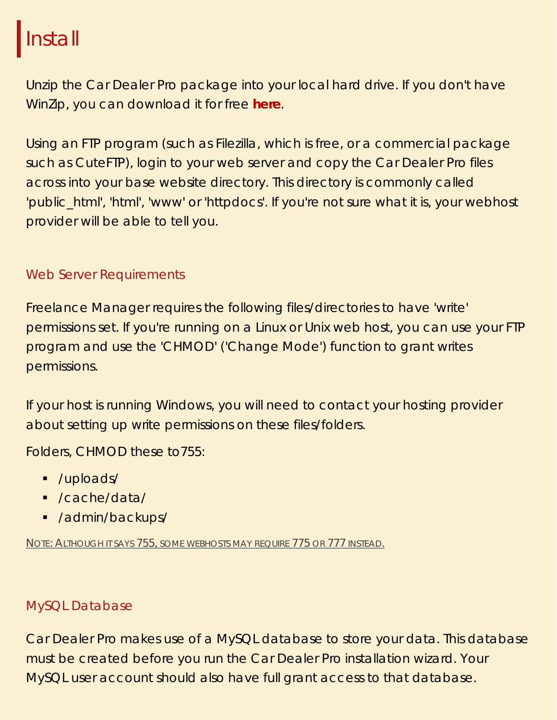### <span id="page-2-0"></span>**Install**

Unzip the Car Dealer Pro package into your local hard drive. If you don't have WinZip, you can download it for free **here**.

Using an FTP program (such as Filezilla, which is free, or a commercial package such as CuteFTP), login to your web server and copy the Car Dealer Pro files across into your base website directory. This directory is commonly called 'public\_html', 'html', 'www' or 'httpdocs'. If you're not sure what it is, your webhost provider will be able to tell you.

#### Web Server Requirements

Freelance Manager requires the following files/directories to have 'write' permissions set. If you're running on a Linux or Unix web host, you can use your FTP program and use the 'CHMOD' ('Change Mode') function to grant writes permissions.

If your host is running Windows, you will need to contact your hosting provider about setting up write permissions on these files/folders.

Folders, CHMOD these to755:

- /uploads/
- /cache/data/
- **-** /admin/backups/

NOTE: ALTHOUGH IT SAYS 755, SOME WEBHOSTS MAY REQUIRE 775 OR 777 INSTEAD.

#### MySQL Database

Car Dealer Pro makes use of a MySQL database to store your data. This database must be created before you run the Car Dealer Pro installation wizard. Your MySQL user account should also have full grant access to that database.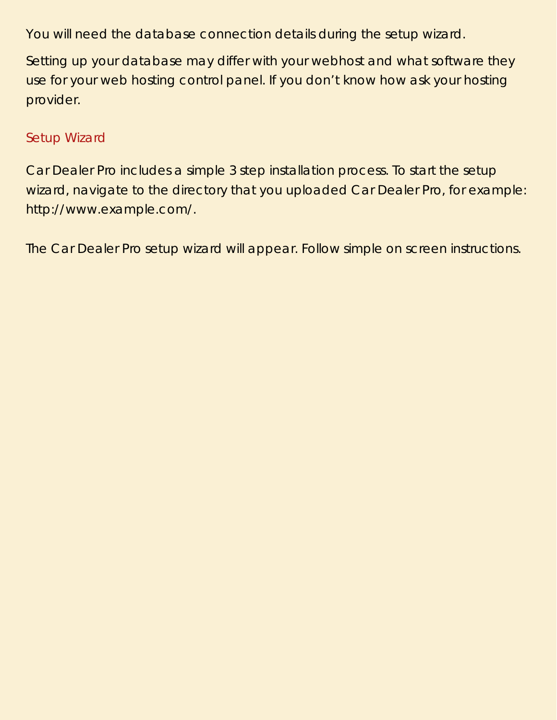You will need the database connection details during the setup wizard.

Setting up your database may differ with your webhost and what software they use for your web hosting control panel. If you don't know how ask your hosting provider.

#### Setup Wizard

Car Dealer Pro includes a simple 3 step installation process. To start the setup wizard, navigate to the directory that you uploaded Car Dealer Pro, for example: http://www.example.com/.

The Car Dealer Pro setup wizard will appear. Follow simple on screen instructions.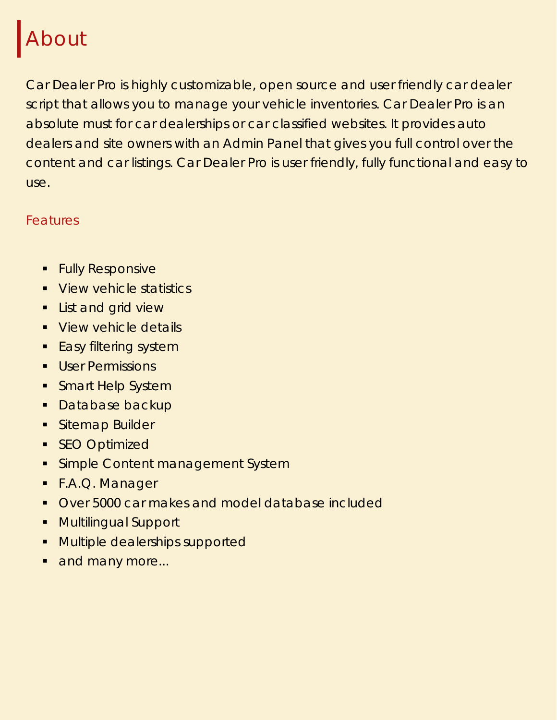### <span id="page-4-0"></span>About

Car Dealer Pro is highly customizable, open source and user friendly car dealer script that allows you to manage your vehicle inventories. Car Dealer Pro is an absolute must for car dealerships or car classified websites. It provides auto dealers and site owners with an Admin Panel that gives you full control over the content and car listings. Car Dealer Pro is user friendly, fully functional and easy to use.

#### Features

- **Fully Responsive**
- **View vehicle statistics**
- **List and grid view**
- **View vehicle details**
- **Easy filtering system**
- **User Permissions**
- **Smart Help System**
- **Database backup**
- **Sitemap Builder**
- **SEO Optimized**
- **Simple Content management System**
- F.A.Q. Manager
- **Over 5000 car makes and model database included**
- **Multilingual Support**
- **Multiple dealerships supported**
- and many more...